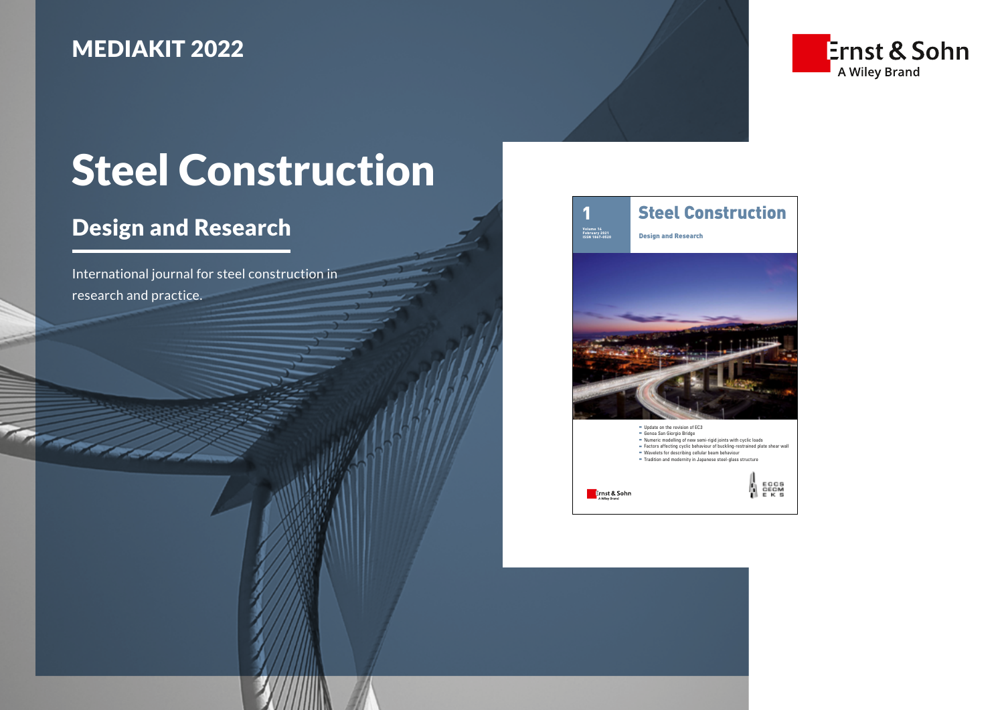## MEDIAKIT 2022



# Steel Construction

# Design and Research

**The Company of Company** 

International journal for steel construction in research and practice.

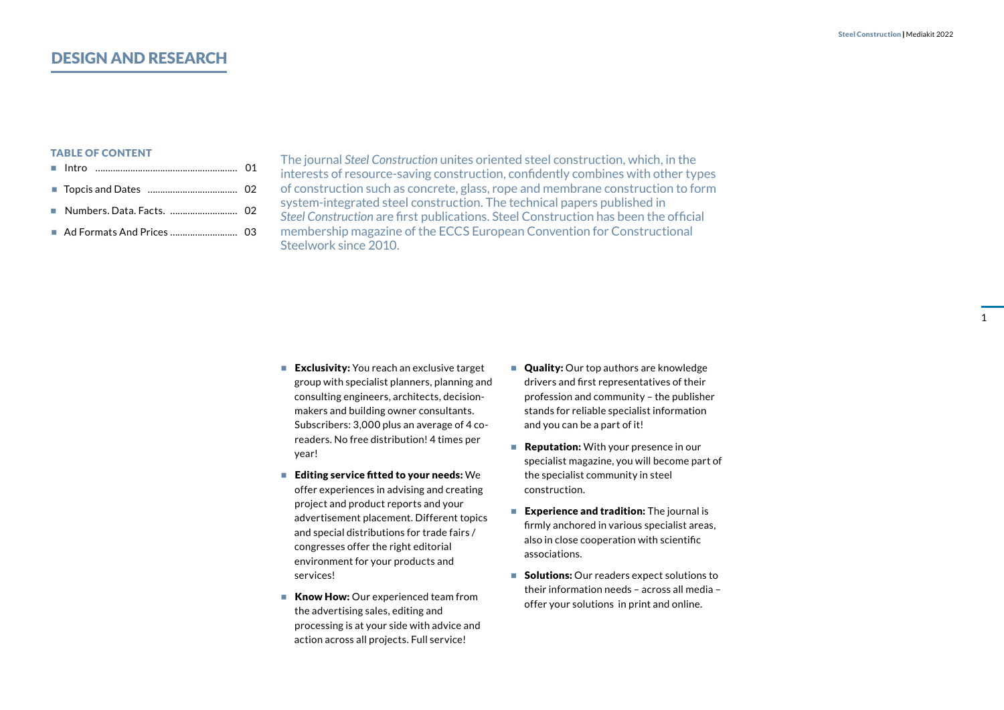## DESIGN AND RESEARCH

#### TABLE OF CONTENT

- Intro ………………………………………………… 01
- Topcis and Dates …………………………………… 02
- Numbers. Data. Facts. ………………………… 02
- [Ad Formats And Prices ……………………… 03](#page-3-0)

The journal *Steel Construction* unites oriented steel construction, which, in the interests of resource-saving construction, confidently combines with other types of construction such as concrete, glass, rope and membrane construction to form system-integrated steel construction. The technical papers published in *Steel Construction* are first publications. Steel Construction has been the official membership magazine of the ECCS European Convention for Constructional Steelwork since 2010.

- Exclusivity: You reach an exclusive target group with specialist planners, planning and consulting engineers, architects, decisionmakers and building owner consultants. Subscribers: 3,000 plus an average of 4 coreaders. No free distribution! 4 times per year!
- Editing service fitted to your needs: We offer experiences in advising and creating project and product reports and your advertisement placement. Different topics and special distributions for trade fairs / congresses offer the right editorial environment for your products and services!
- **Know How:** Our experienced team from the advertising sales, editing and processing is at your side with advice and action across all projects. Full service!
- **Quality:** Our top authors are knowledge drivers and first representatives of their profession and community – the publisher stands for reliable specialist information and you can be a part of it!
- $\blacksquare$  **Reputation:** With your presence in our specialist magazine, you will become part of the specialist community in steel construction.
- **Experience and tradition:** The journal is firmly anchored in various specialist areas, also in close cooperation with scientific associations.
- **Solutions:** Our readers expect solutions to their information needs – across all media – offer your solutions in print and online.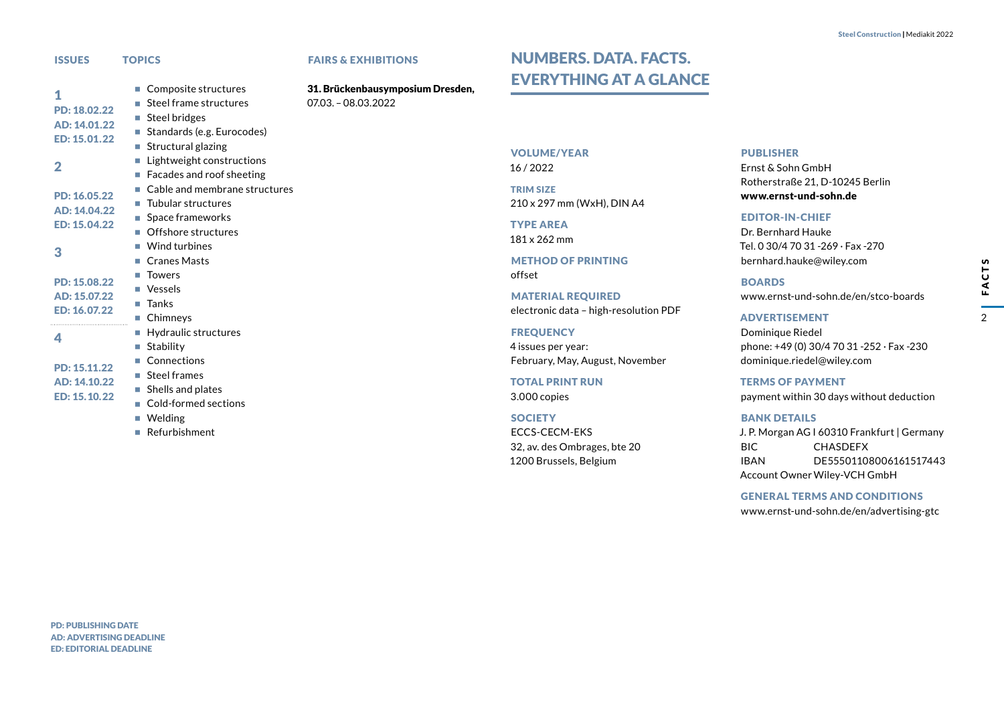$\mathcal{P}$ 

FACTS

<span id="page-2-0"></span>

| <b>ISSUES</b>                                                       | <b>TOPICS</b>                                                                                                                                                                                                | <b>FAIRS &amp;</b>       |
|---------------------------------------------------------------------|--------------------------------------------------------------------------------------------------------------------------------------------------------------------------------------------------------------|--------------------------|
| 1<br>PD: 18.02.22<br>AD: 14.01.22<br>ED: 15.01.22<br>$\overline{2}$ | Composite structures<br>Steel frame structures<br>$\blacksquare$ Steel bridges<br>Standards (e.g. Eurocodes)<br>Structural glazing<br>m.<br>Lightweight constructions<br>П<br>Facades and roof sheeting<br>ш | 31. Brück<br>$07.03 - 0$ |
| PD: 16.05.22<br>AD: 14.04.22<br>ED: 15.04.22                        | Cable and membrane structures<br>$\blacksquare$ Tubular structures<br>Space frameworks<br>■ Offshore structures                                                                                              |                          |
| 3                                                                   | Wind turbines<br>m.<br><b>Cranes Masts</b><br>m.                                                                                                                                                             |                          |
| PD: 15.08.22<br>AD: 15.07.22<br>ED: 16.07.22                        | <b>Towers</b><br>Vessels<br>m.<br>Tanks<br>п<br>Chimneys<br>L.                                                                                                                                               |                          |
| 4                                                                   | Hydraulic structures<br>u.<br>Stability<br>L.                                                                                                                                                                |                          |
| PD: 15.11.22<br>AD: 14.10.22<br>ED: 15.10.22                        | Connections<br>$\blacksquare$ Steel frames<br>Shells and plates<br>u.<br>Cold-formed sections                                                                                                                |                          |

- **Welding**
- Refurbishment

#### **EXHIBITIONS**

enbausymposium Dresden, 8.03.2022

## <span id="page-2-1"></span>NUMBERS. DATA. FACTS. EVERYTHING AT A GLANCE

#### VOLUME/YEAR

16 / 2022

TRIM SIZE 210 x 297 mm (WxH), DIN A4

TYPE AREA 181 x 262 mm

METHOD OF PRINTING offset

MATERIAL REQUIRED electronic data – high-resolution PDF

**FREQUENCY** 4 issues per year: February, May, August, November

TOTAL PRINT RUN 3.000 copies

**SOCIETY** ECCS-CECM-EKS 32, av. des Ombrages, bte 20 1200 Brussels, Belgium

#### PUBLISHER

Ernst & Sohn GmbH Rotherstraße 21, D-10245 Berlin www.ernst-und-sohn.de

#### EDITOR-IN-CHIEF

Dr. Bernhard Hauke Tel. 0 30/4 70 31 -269 · Fax -270 bernhard.hauke@wiley.com

BOARDS www.ernst-und-sohn.de/en/stco-boards

ADVERTISEMENT

Dominique Riedel phone: +49 (0) 30/4 70 31 -252 · Fax -230 dominique.riedel@wiley.com

TERMS OF PAYMENT payment within 30 days without deduction

#### BANK DETAILS

J. P. Morgan AG I 60310 Frankfurt | Germany BIC CHASDEFX IBAN DE55501108006161517443 Account Owner Wiley-VCH GmbH

GENERAL TERMS AND CONDITIONS www.ernst-und-sohn.de/en/advertising-gtc

PD: PUBLISHING DATE AD: ADVERTISING DEADLINE ED: EDITORIAL DEADLINE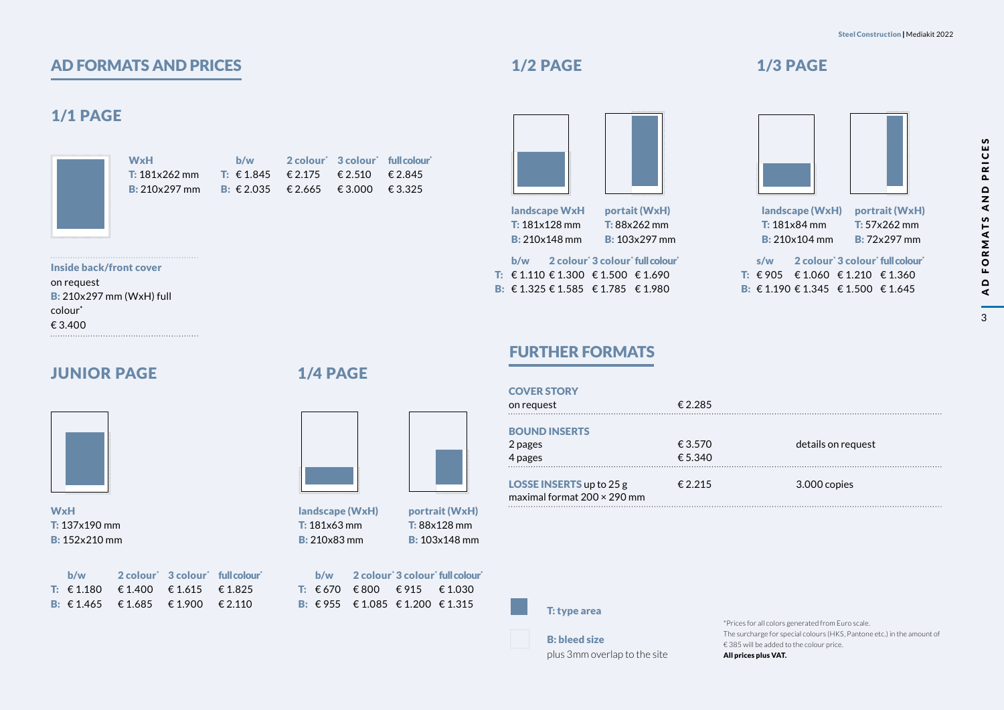## <span id="page-3-0"></span>AD FORMATS AND PRICES

## 1/1 PAGE

|  |  | î<br>ü  |
|--|--|---------|
|  |  | í.      |
|  |  | i,      |
|  |  | ï       |
|  |  | ï<br>î  |
|  |  | î       |
|  |  | î       |
|  |  | î       |
|  |  | î       |
|  |  | î       |
|  |  | ü<br>í. |
|  |  | ı       |
|  |  | í.      |
|  |  | ï       |
|  |  | ç<br>î  |
|  |  | î       |
|  |  | î       |
|  |  | î       |
|  |  | î       |
|  |  | î<br>ü  |
|  |  | í.      |
|  |  | i,      |
|  |  | ï       |
|  |  | ï       |
|  |  | î<br>î  |
|  |  | î       |
|  |  | î       |
|  |  | î       |
|  |  | î       |
|  |  | ü<br>í. |
|  |  | ı       |
|  |  | i,      |
|  |  | ï       |
|  |  | ç<br>î  |
|  |  | î       |
|  |  | î       |
|  |  | î       |
|  |  | î       |
|  |  | î<br>ü  |
|  |  | í.      |
|  |  | í.      |
|  |  | ï       |
|  |  | ï<br>î  |
|  |  | î       |
|  |  | î       |
|  |  | î       |
|  |  | î       |
|  |  | ü<br>ü  |
|  |  | í.      |
|  |  | i.      |
|  |  |         |

WxH T: 181x262 mm B: 210x297 mm b/w **T:** €1.845 €2.175 **B**: €2.035 €2.665 €3.000 €3.325  $2$  colour'  $3$  colour' full colour'  $£ 2.510$ € 2.845

Inside back/front cover on request B: 210x297 mm (WxH) full colour\* € 3.400

## JUNIOR PAGE



WxH T: 137x190 mm B: 152x210 mm

| b/w |                                        | 2 colour 3 colour full colour |  |
|-----|----------------------------------------|-------------------------------|--|
|     | <b>T:</b> €1.180 €1.400 €1.615 €1.825  |                               |  |
|     | <b>B</b> : €1.465 €1.685 €1.900 €2.110 |                               |  |

### 1/4 PAGE

T: 181x63 mm



landscape (WxH) B: 210x83 mm portrait (WxH) T: 88x128 mm B: 103x148 mm

b/w 2 colour<sup>\*</sup> 3 colour<sup>\*</sup> full colour<sup>\*</sup> T: €670 €800 €915 €1.030 **B**: €955 €1.085 €1.200 €1.315

## 1/2 PAGE



landscape WxH T: 181x128 mm B: 210x148 mm portait (WxH) T: 88x262 mm B: 103x297 mm

b/w 2 colour<sup>\*</sup> 3 colour<sup>\*</sup> full colour<sup>\*</sup>

T: €1.110 €1.300 €1.500 €1.690 **B**: €1.325 €1.585 €1.785 €1.980

## 1/3 PAGE



landscape (WxH) T: 181x84 mm B: 210x104 mm portrait (WxH) T: 57x262 mm B: 72x297 mm

s/w 2 colour<sup>\*</sup> 3 colour<sup>\*</sup> full colour<sup>\*</sup> T: €905 €1.060 €1.210 €1.360 **B**: €1.190 €1.345 €1.500 €1.645

## FURTHER FORMATS

| <b>COVER STORY</b><br>on request                                      | € 2.285            |                    |
|-----------------------------------------------------------------------|--------------------|--------------------|
| <b>BOUND INSERTS</b><br>2 pages<br>4 pages                            | € 3.570<br>€ 5.340 | details on request |
| <b>LOSSE INSERTS</b> up to 25 g<br>maximal format $200 \times 290$ mm | € 2.215            | 3.000 copies       |

T: type area

B: bleed size plus 3mm overlap to the site

\*Prices for all colors generated from Euro scale. The surcharge for special colours (HKS, Pantone etc.) in the amount of € 385 will be added to the colour price. All prices plus VAT.